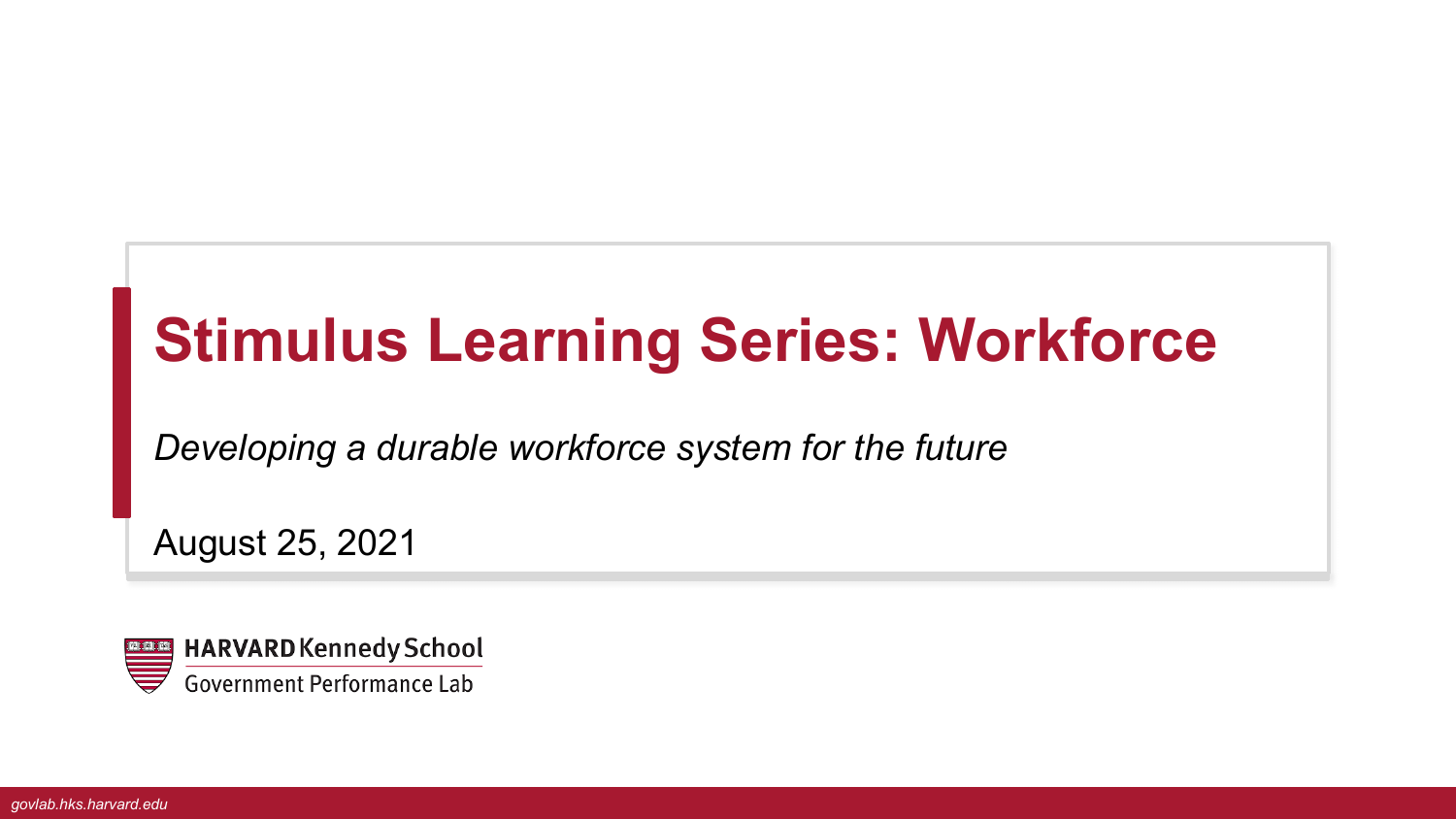# **Stimulus Learning Series: Workforce**

*Developing a durable workforce system for the future*

August 25, 2021

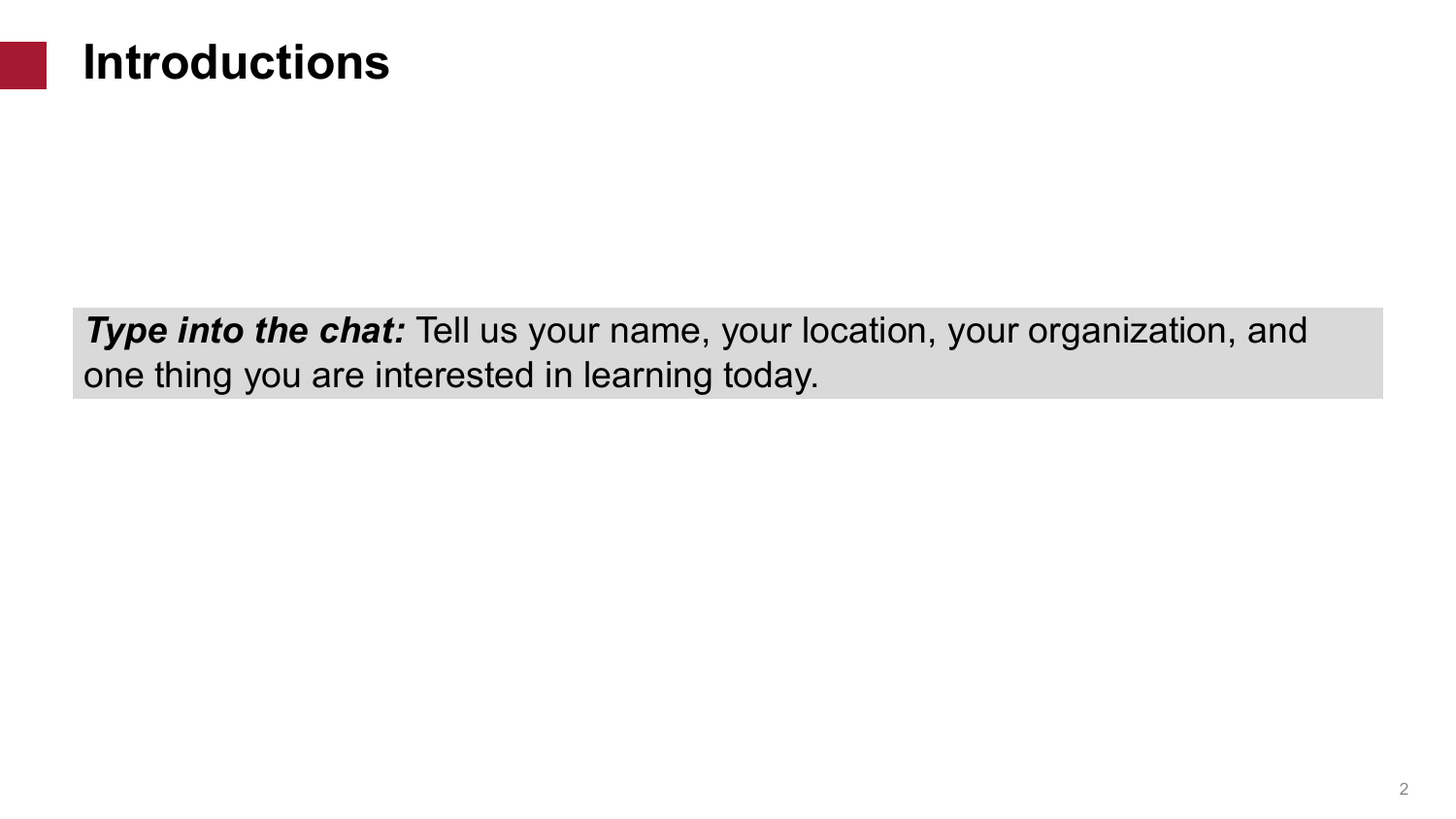

**Type into the chat:** Tell us your name, your location, your organization, and one thing you are interested in learning today.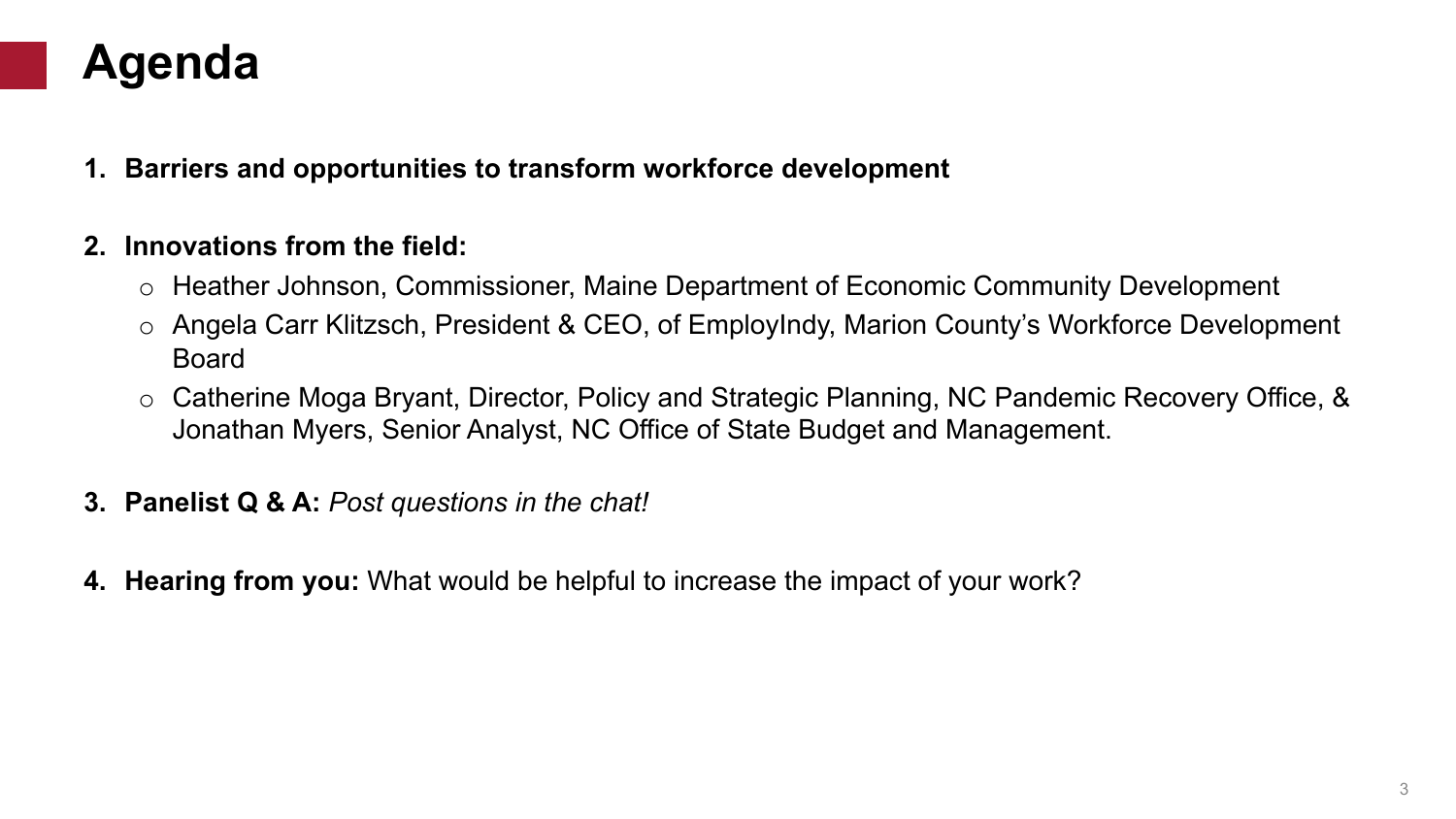## **Agenda**

**1. Barriers and opportunities to transform workforce development** 

### **2. Innovations from the field:**

- o Heather Johnson, Commissioner, Maine Department of Economic Community Development
- o Angela Carr Klitzsch, President & CEO, of EmployIndy, Marion County's Workforce Development Board
- o Catherine Moga Bryant, Director, Policy and Strategic Planning, NC Pandemic Recovery Office, & Jonathan Myers, Senior Analyst, NC Office of State Budget and Management.
- **3. Panelist Q & A:** *Post questions in the chat!*
- **4. Hearing from you:** What would be helpful to increase the impact of your work?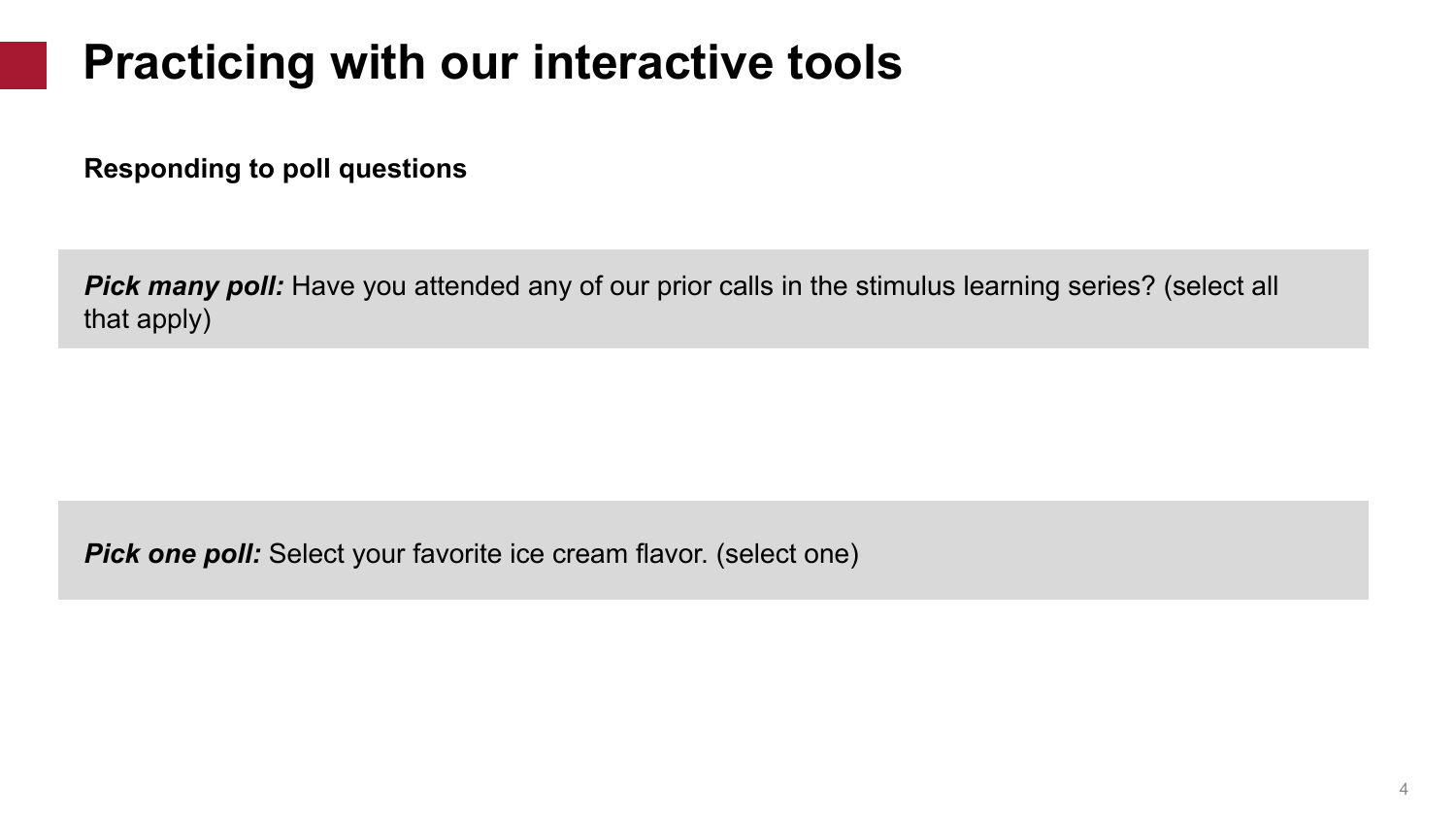# **Practicing with our interactive tools**

**Responding to poll questions**

**Pick many poll:** Have you attended any of our prior calls in the stimulus learning series? (select all that apply)

**Pick one poll:** Select your favorite ice cream flavor. (select one)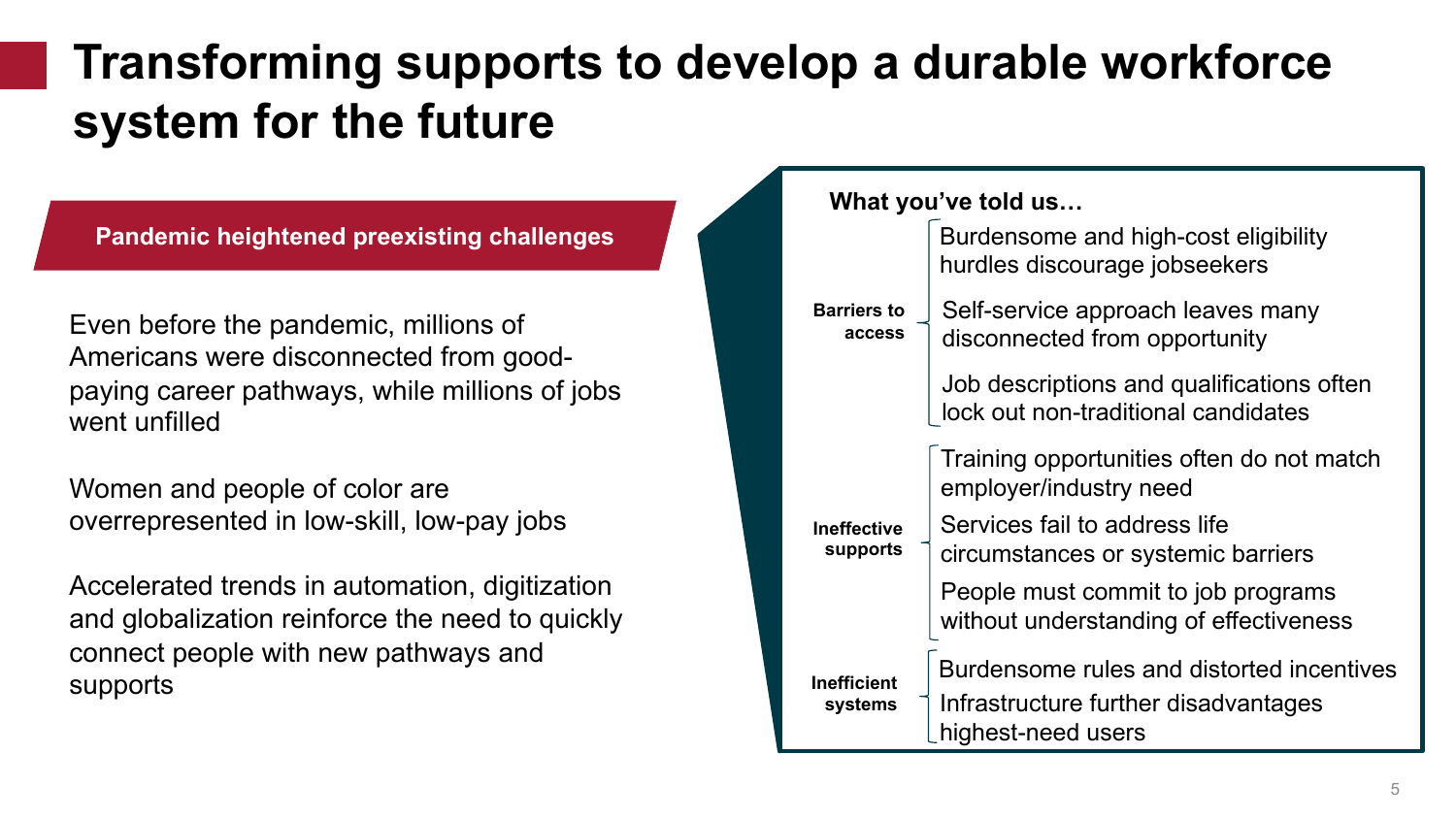# **Transforming supports to develop a durable workforce system for the future**

**Pandemic heightened preexisting challenges**

Even before the pandemic, millions of Americans were disconnected from goodpaying career pathways, while millions of jobs went unfilled

Women and people of color are overrepresented in low-skill, low-pay jobs

Accelerated trends in automation, digitization and globalization reinforce the need to quickly connect people with new pathways and supports

**What you've told us…**

| <b>Barriers to</b><br>access   | Burdensome and high-cost eligibility<br>hurdles discourage jobseekers                                   |
|--------------------------------|---------------------------------------------------------------------------------------------------------|
|                                | Self-service approach leaves many<br>disconnected from opportunity                                      |
|                                | Job descriptions and qualifications often<br>lock out non-traditional candidates                        |
|                                | Training opportunities often do not match<br>employer/industry need                                     |
| <b>Ineffective</b><br>supports | Services fail to address life<br>circumstances or systemic barriers                                     |
|                                | People must commit to job programs<br>without understanding of effectiveness                            |
| <b>Inefficient</b><br>systems  | Burdensome rules and distorted incentives<br>Infrastructure further disadvantages<br>highest-need users |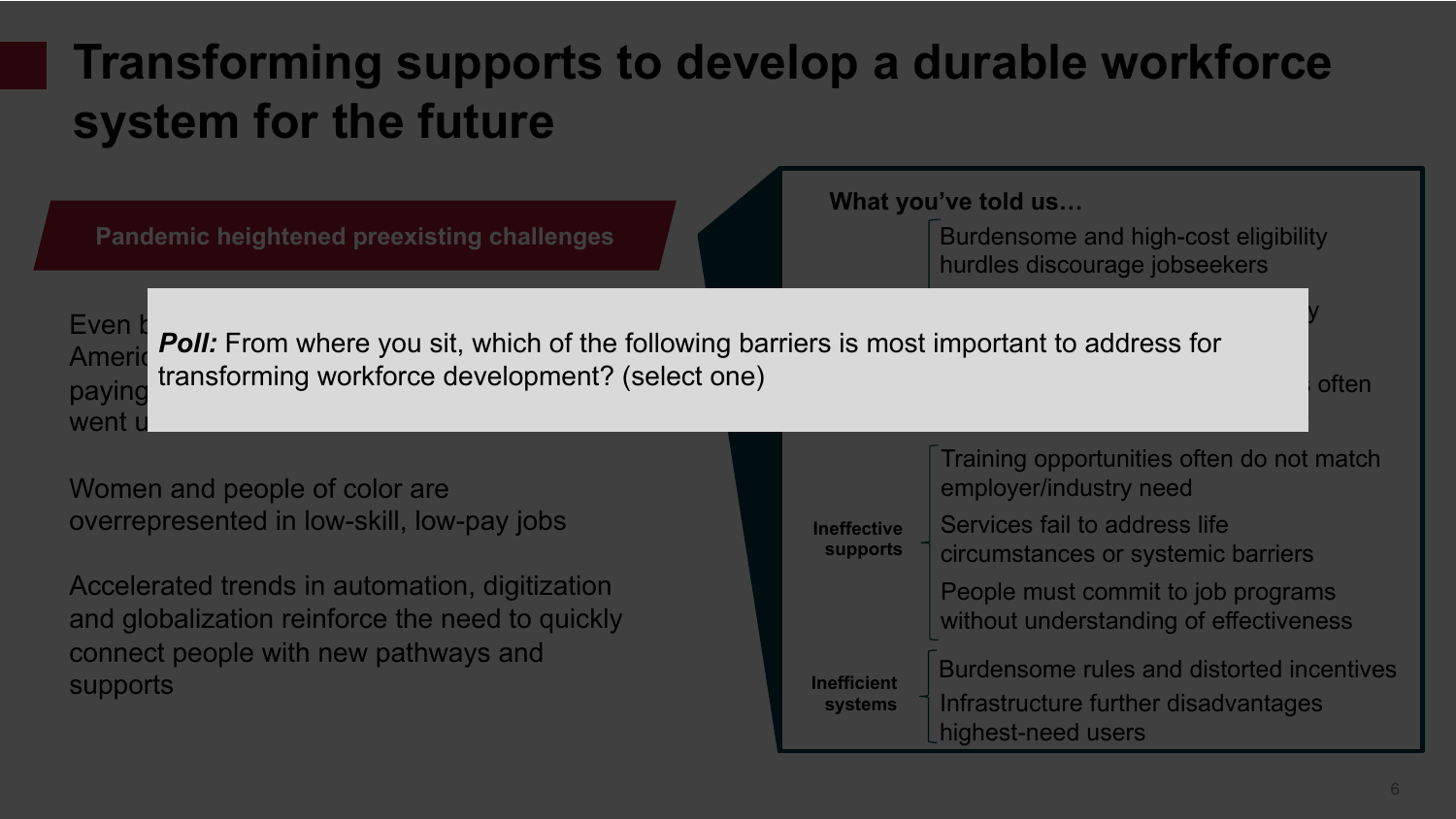# **Transforming supports to develop a durable workforce system for the future**

**Pandemic heightened preexisting challenges**

**What you've told us…**

Burdensome and high-cost eligibility hurdles discourage jobseekers

Self-service approach leaves many structure many structure  $\mathbf y$ 



Even **b**<br>And **Foll**: From where you sit, which of the following barriers is most important to address for  $J_{\rm eff}$  descriptions and  $J_{\rm eff}$  descriptions of  $J_{\rm eff}$ Americ *PUII.* From where you sit, which or paying dansion ing worklorde development: **Poll:** From where you sit, which of the following barriers is most important to address for transforming workforce development? (select one)

Women and people of color are overrepresented in low-skill, low-pay jobs

Accelerated trends in automation, digitization and globalization reinforce the need to quickly connect people with new pathways and supports

| <b>Ineffective</b><br><b>supports</b> | Training opportunities often do not match<br>employer/industry need                                     |
|---------------------------------------|---------------------------------------------------------------------------------------------------------|
|                                       | Services fail to address life<br>circumstances or systemic barriers                                     |
|                                       | People must commit to job programs<br>without understanding of effectiveness                            |
| <b>Inefficient</b><br><b>systems</b>  | Burdensome rules and distorted incentives<br>Infrastructure further disadvantages<br>highest-need users |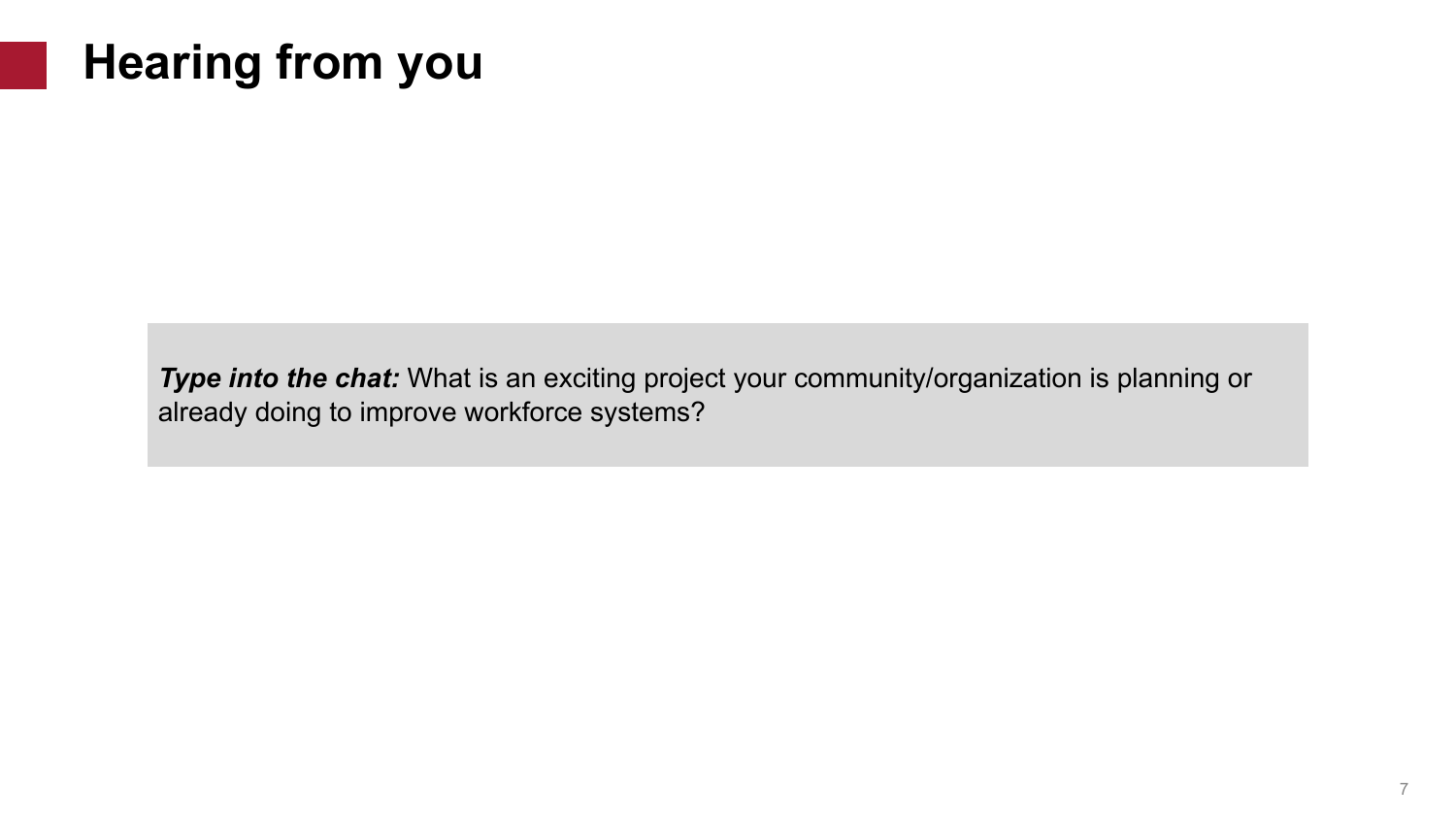# **Hearing from you**

**Type into the chat:** What is an exciting project your community/organization is planning or already doing to improve workforce systems?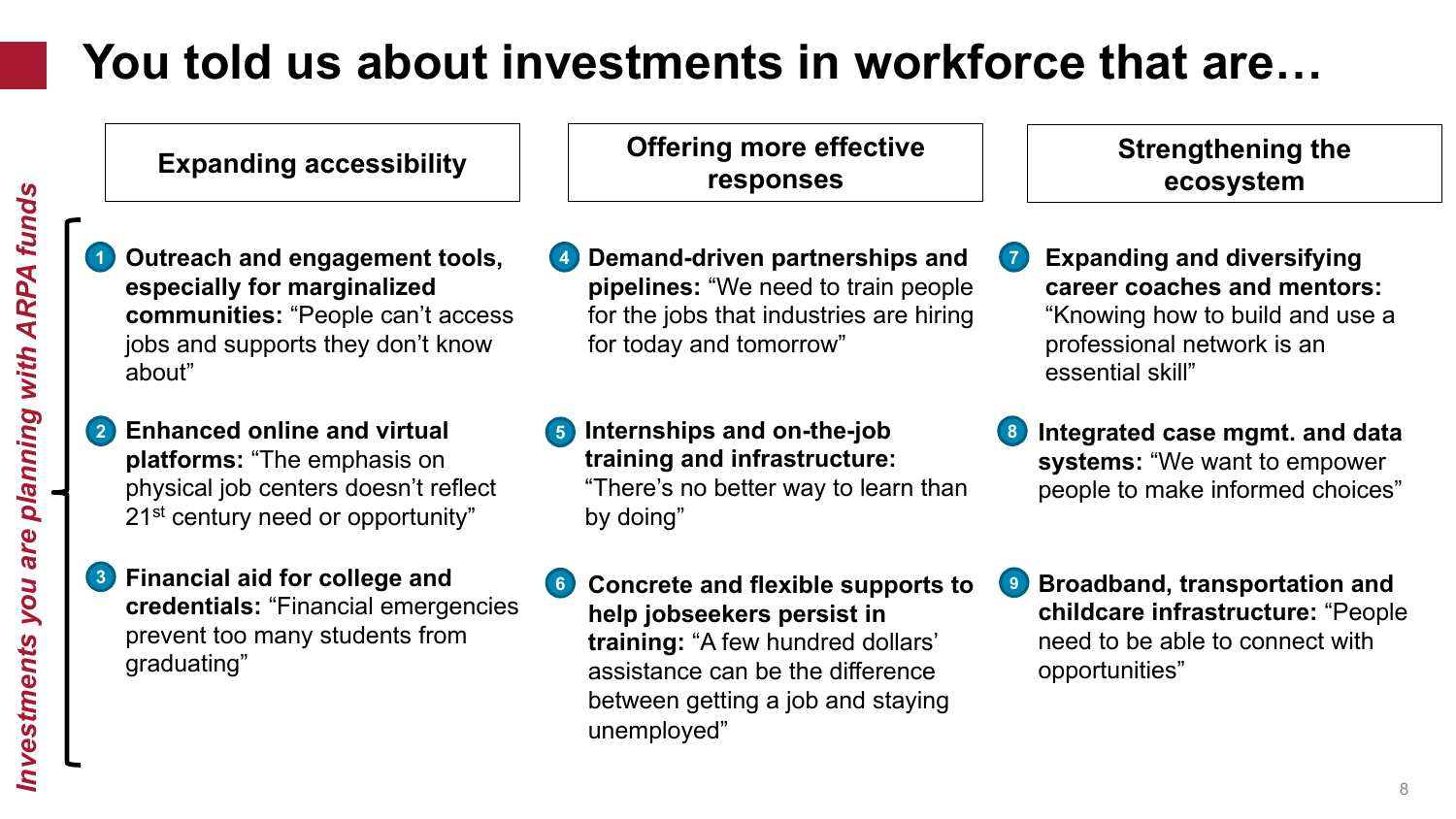# **You told us about investments in workforce that are…**

**Outreach and engagement tools, especially for marginalized communities:** "People can't access jobs and supports they don't know about"

- **Enhanced online and virtual 2 platforms:** "The emphasis on physical job centers doesn't reflect 21<sup>st</sup> century need or opportunity"
- **3 Financial aid for college and credentials:** "Financial emergencies prevent too many students from graduating"

**Expanding accessibility Offering more effective responses**

- **Demand-driven partnerships and pipelines:** "We need to train people for the jobs that industries are hiring for today and tomorrow" **4**
- **5 Internships and on-the-job training and infrastructure:**

"There's no better way to learn than by doing"

**6 Concrete and flexible supports to help jobseekers persist in training:** "A few hundred dollars' assistance can be the difference between getting a job and staying unemployed"

- **Strengthening the ecosystem**
- **Expanding and diversifying career coaches and mentors:**  "Knowing how to build and use a professional network is an essential skill" **7**
- **8 Integrated case mgmt. and data systems:** "We want to empower people to make informed choices"
- **9 Broadband, transportation and childcare infrastructure:** "People need to be able to connect with opportunities"

**1**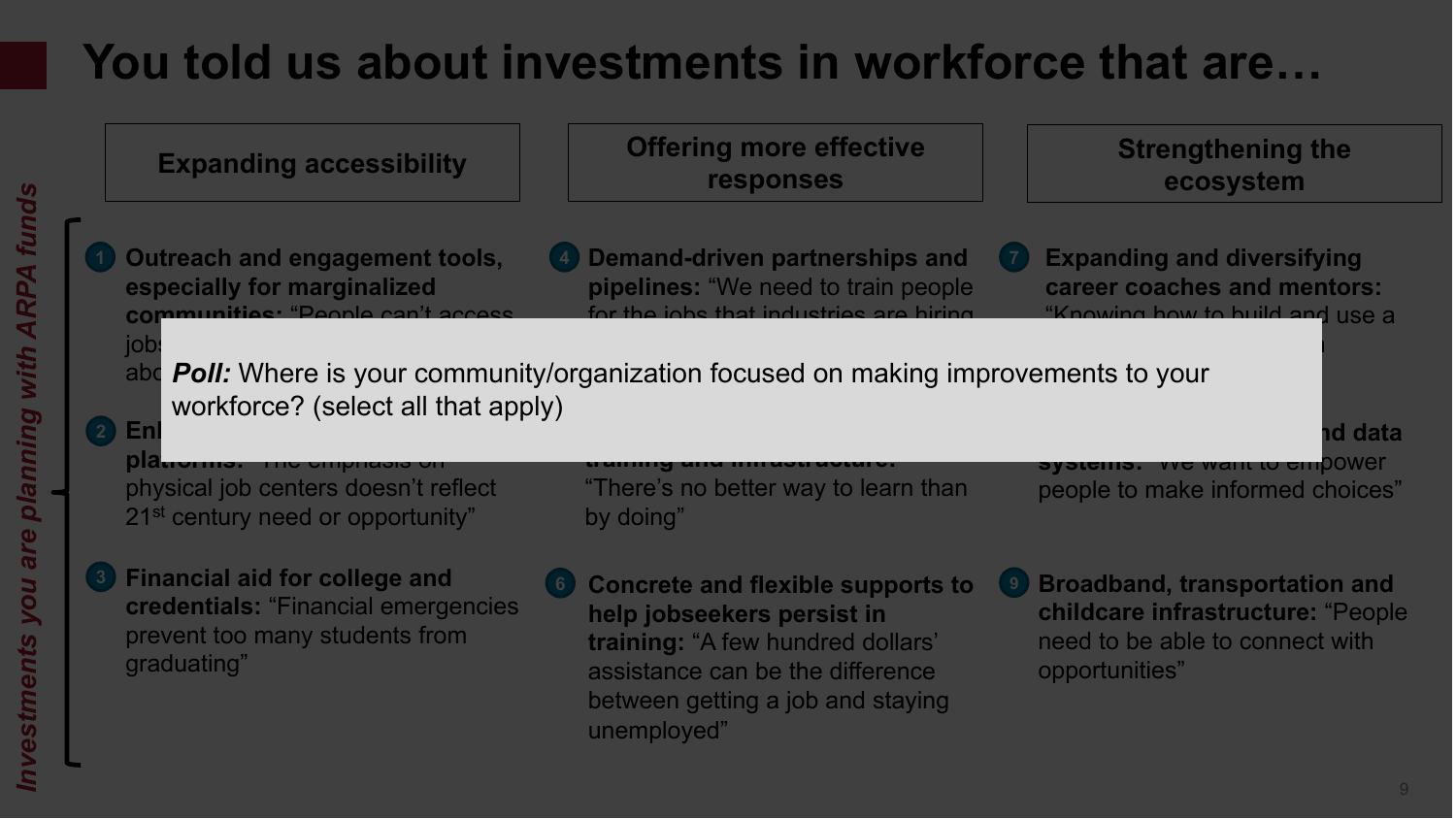# **You told us about investments in workforce that are…**

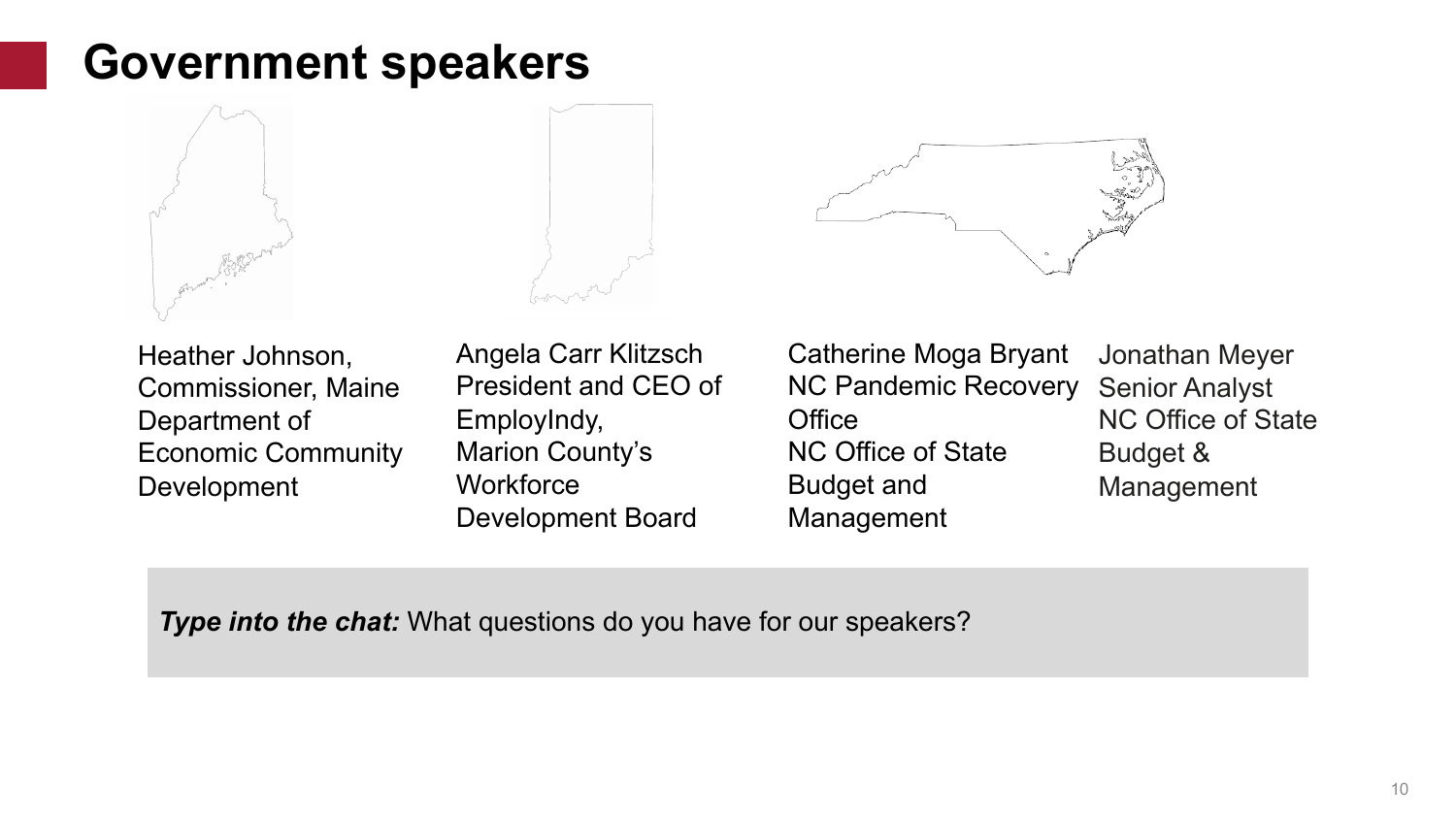## **Government speakers**





Heather Johnson, Commissioner, Maine Department of Economic Community Development

Angela Carr Klitzsch President and CEO of EmployIndy, Marion County's **Workforce** Development Board



Catherine Moga Bryant NC Pandemic Recovery **Office** NC Office of State Budget and Management

Jonathan Meyer Senior Analyst NC Office of State Budget & Management

**Type into the chat:** What questions do you have for our speakers?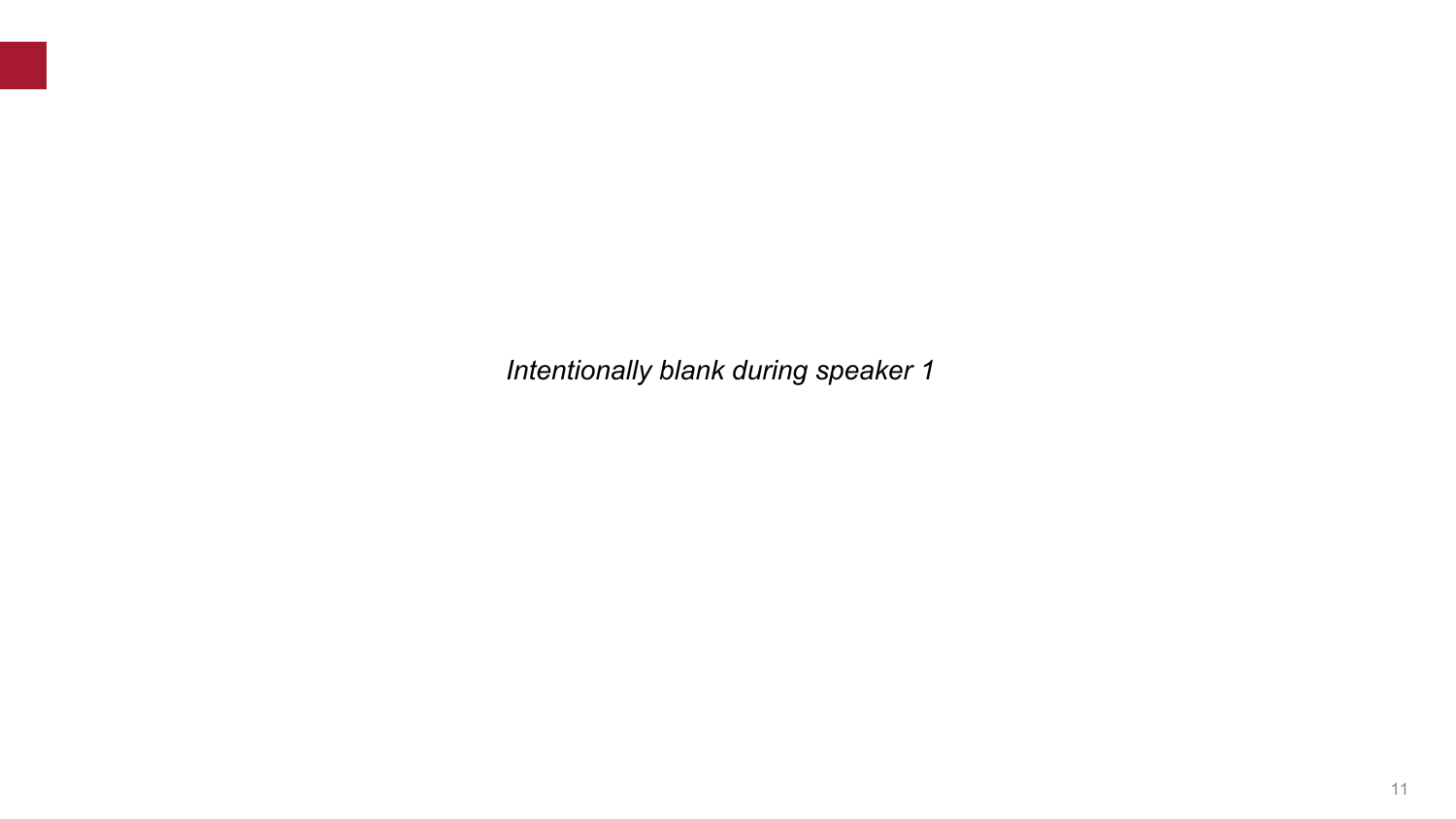*Intentionally blank during speaker 1*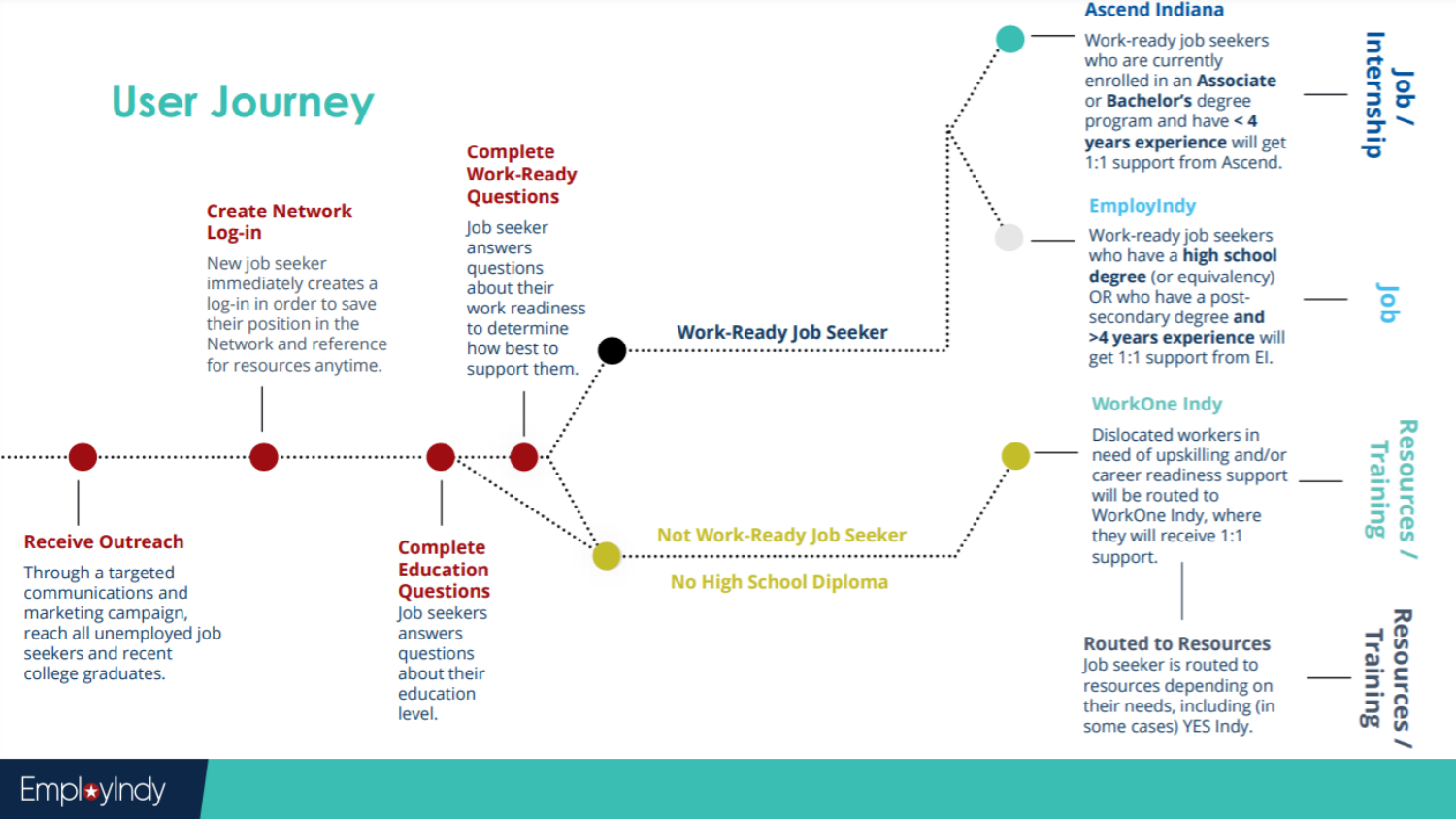#### **User Journey Complete Work-Ready Questions Create Network** lob seeker Log-in answers New job seeker questions immediately creates a about their log-in in order to save work readiness their position in the to determine **Work-Ready Job Seeker** Network and reference how best to for resources anytime. support them. **Not Work-Ready Job Seeker Receive Outreach Complete** support. **Education** Through a targeted **No High School Diploma** communications and **Questions** marketing campaign, Job seekers reach all unemployed job answers seekers and recent questions about their college graduates. education level.

#### **Ascend Indiana**

Work-ready job seekers who are currently enrolled in an Associate or **Bachelor's** degree program and have < 4 years experience will get 1:1 support from Ascend.

### **EmployIndy**

Work-ready job seekers who have a high school degree (or equivalency) OR who have a postsecondary degree and >4 years experience will get 1:1 support from El.

#### **WorkOne Indv**

Dislocated workers in need of upskilling and/or career readiness support will be routed to WorkOne Indy, where they will receive 1:1

#### **Routed to Resources**

Job seeker is routed to resources depending on their needs, including (in some cases) YES Indy.

# Resources Training

Empl\*yIndy

# Internship go

ᅎ esources Training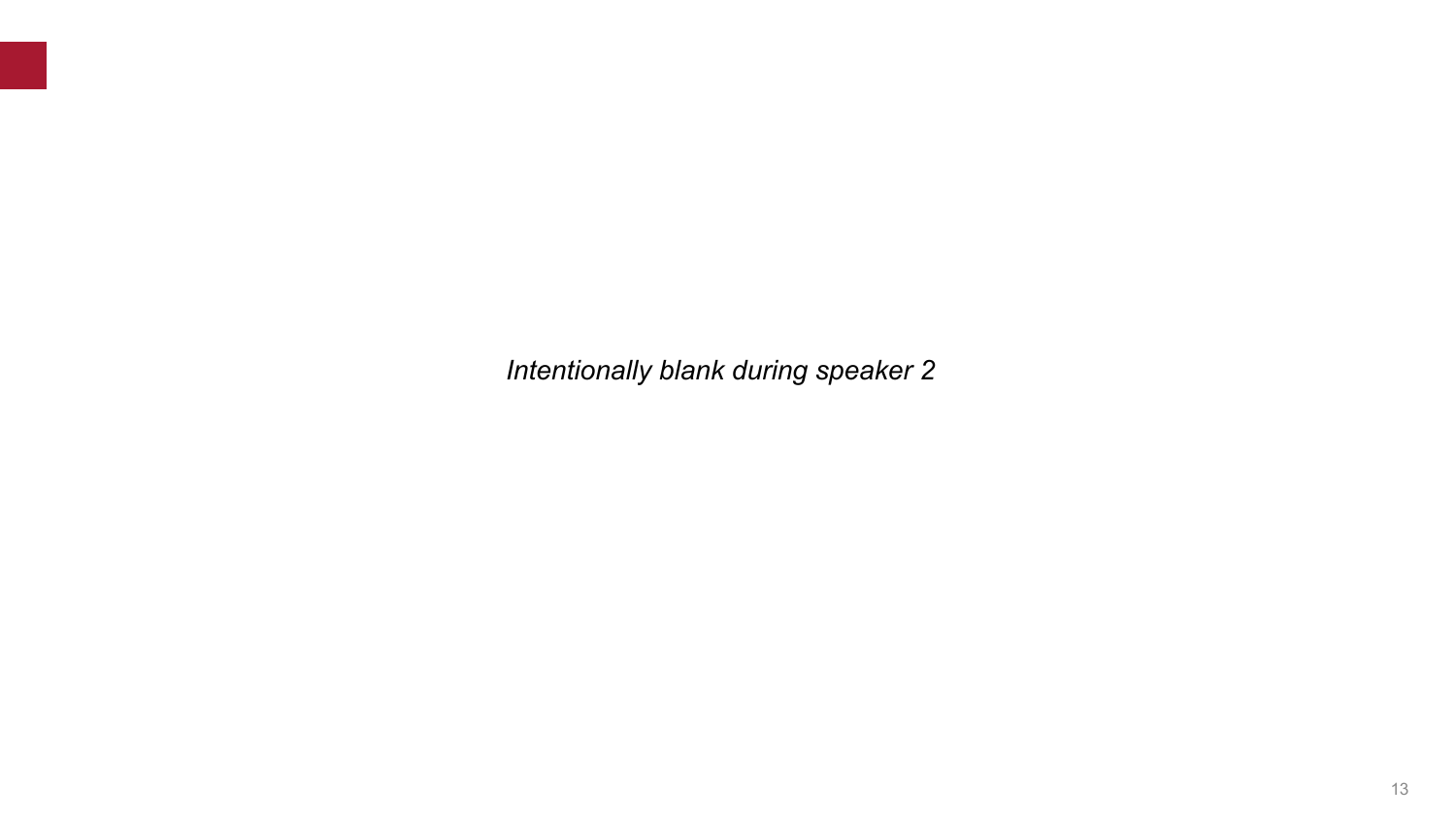*Intentionally blank during speaker 2*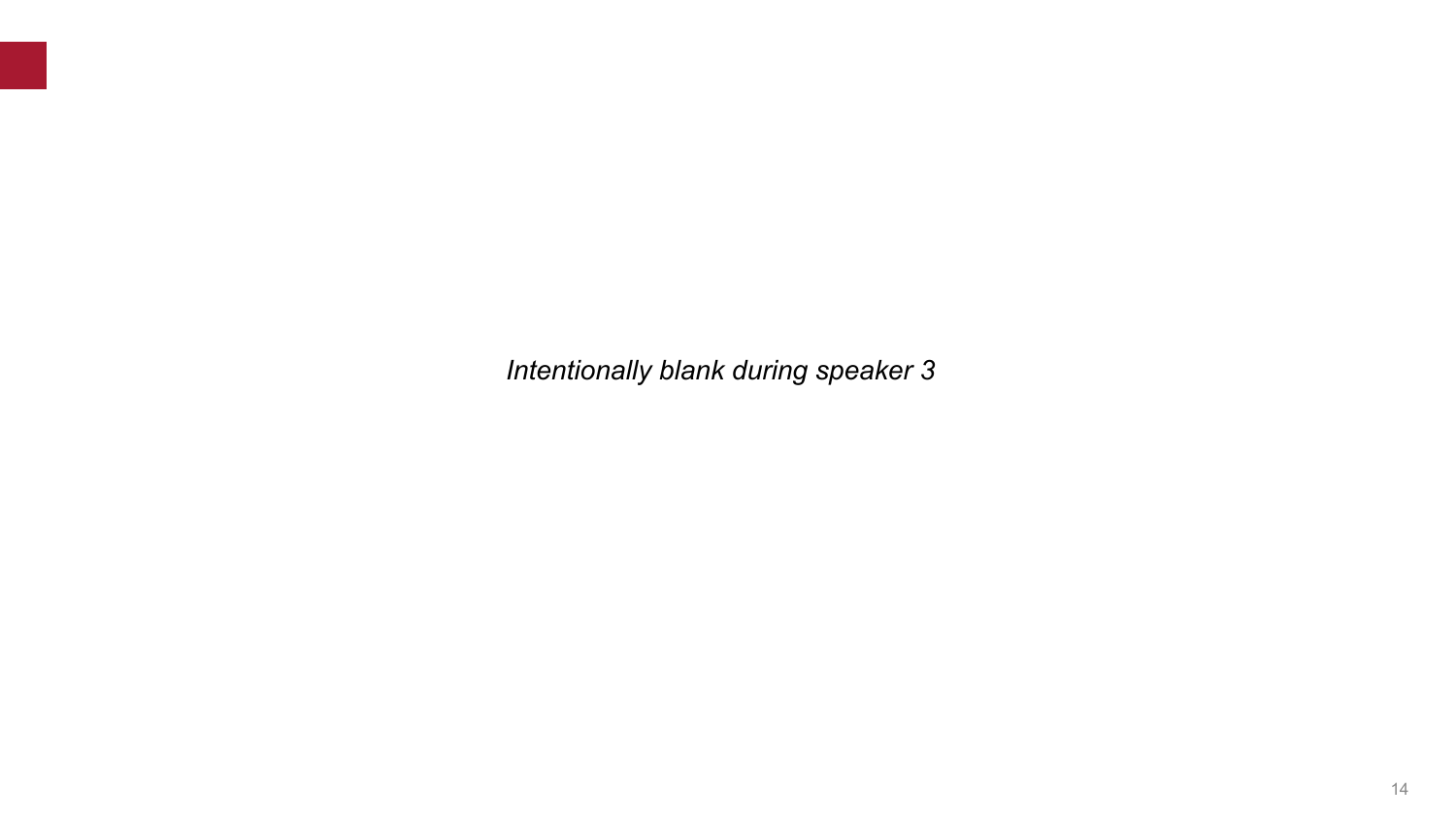*Intentionally blank during speaker 3*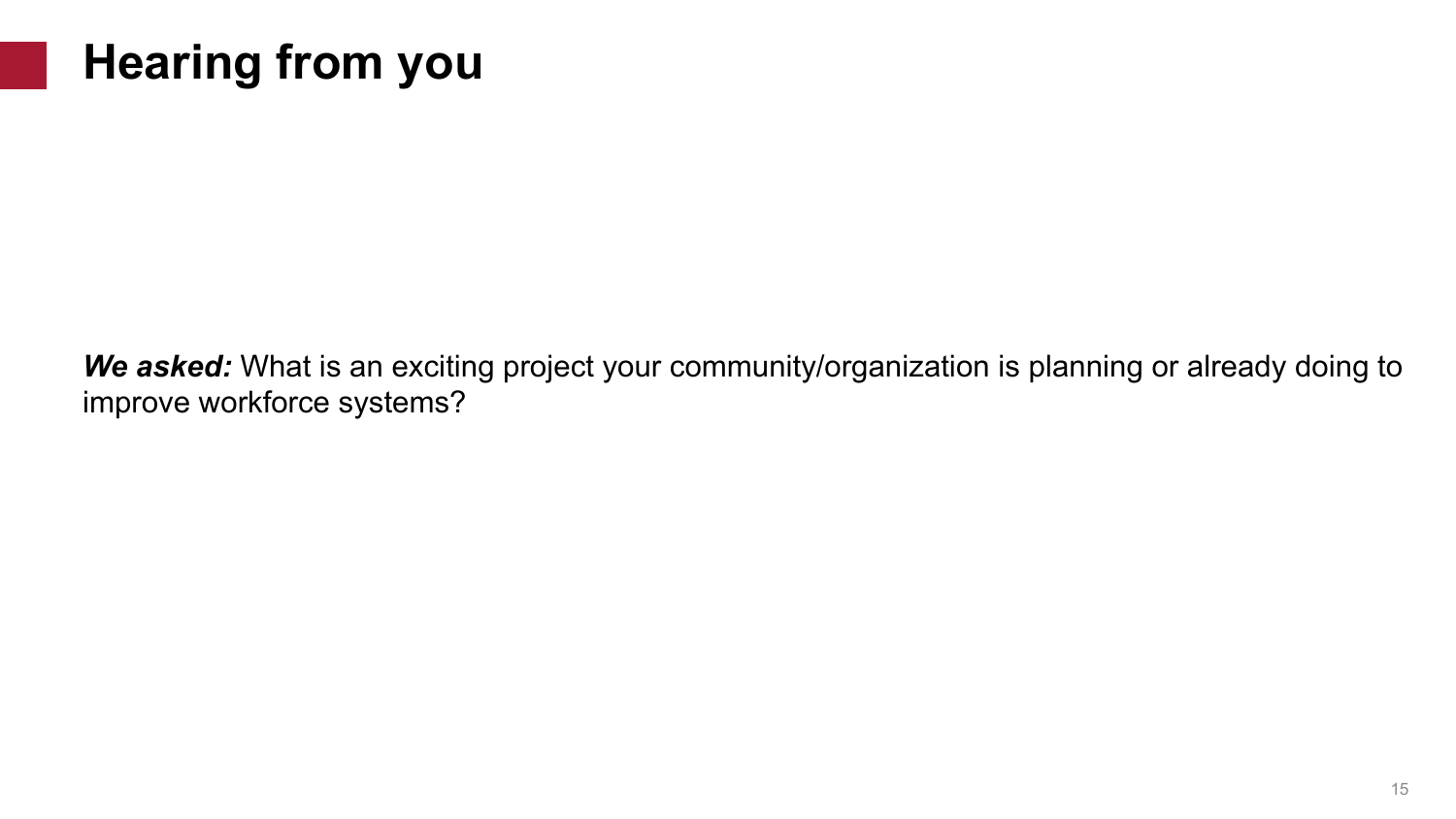# **Hearing from you**

*We asked:* What is an exciting project your community/organization is planning or already doing to improve workforce systems?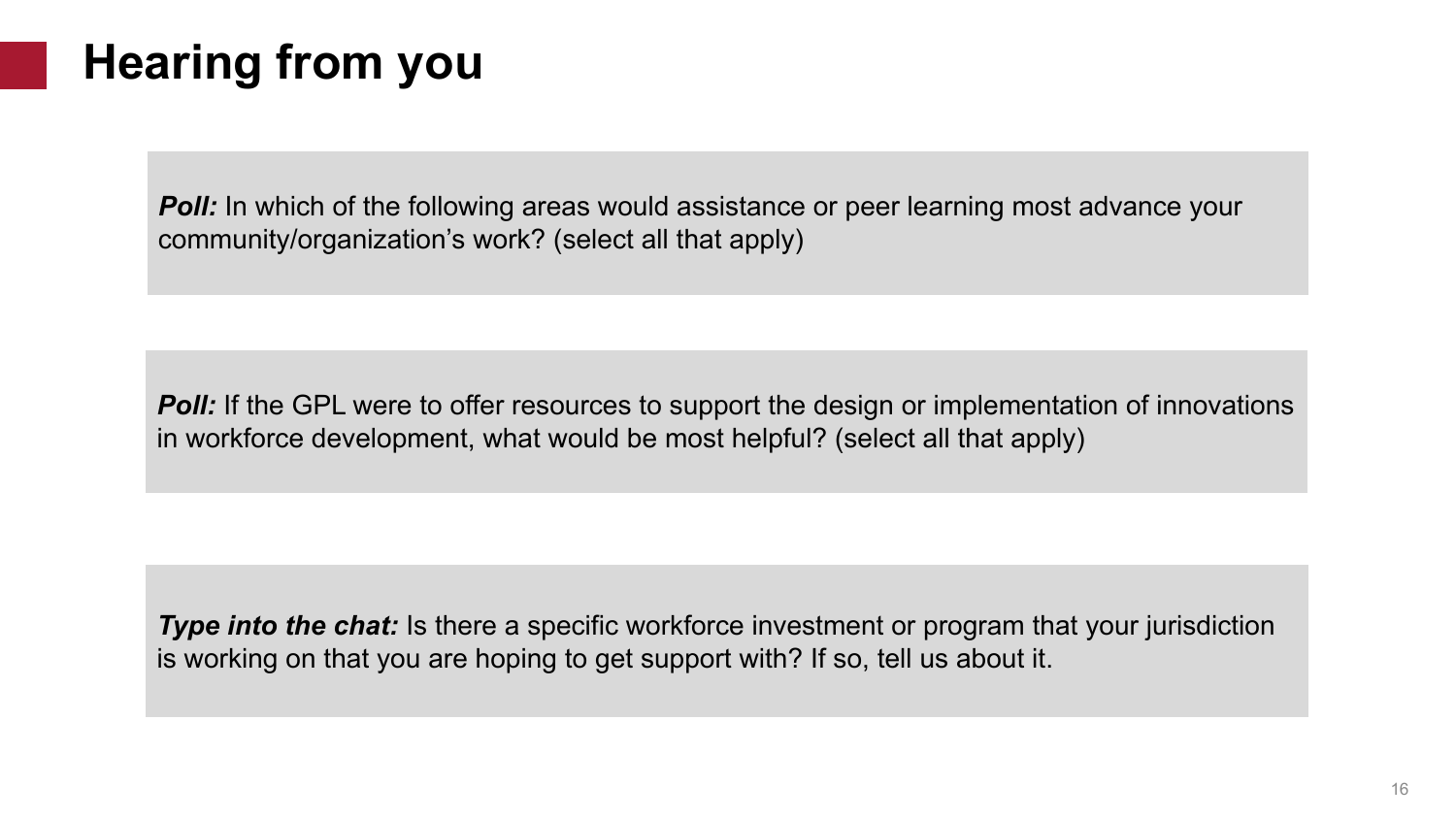# **Hearing from you**

*Poll:* In which of the following areas would assistance or peer learning most advance your community/organization's work? (select all that apply)

*Poll:* If the GPL were to offer resources to support the design or implementation of innovations in workforce development, what would be most helpful? (select all that apply)

*Type into the chat:* Is there a specific workforce investment or program that your jurisdiction is working on that you are hoping to get support with? If so, tell us about it.